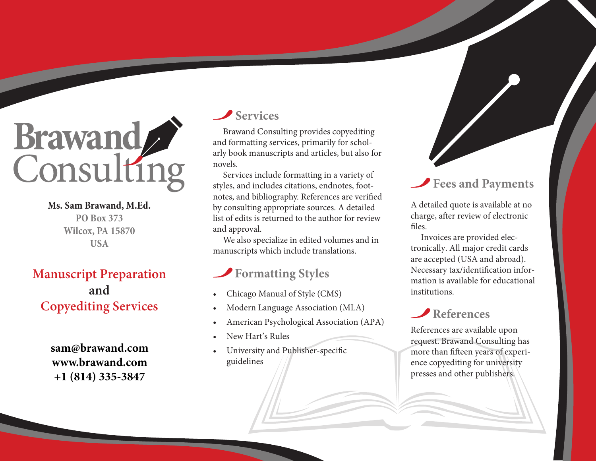

**Ms. Sam Brawand, M.Ed. PO Box 373 Wilcox, PA 15870 USA**

# **Manuscript Preparation and Copyediting Services**

**sam@brawand.com www.brawand.com +1 (814) 335-3847**

### **Services**

Brawand Consulting provides copyediting and formatting services, primarily for scholarly book manuscripts and articles, but also for novels.

Services include formatting in a variety of styles, and includes citations, endnotes, footnotes, and bibliography. References are verified by consulting appropriate sources. A detailed list of edits is returned to the author for review and approval.

We also specialize in edited volumes and in manuscripts which include translations.

# **Formatting Styles**

- Chicago Manual of Style (CMS)
- Modern Language Association (MLA)
- American Psychological Association (APA)
- New Hart's Rules
- University and Publisher-specific guidelines

# **Fees and Payments**

A detailed quote is available at no charge, after review of electronic files.

Invoices are provided electronically. All major credit cards are accepted (USA and abroad). Necessary tax/identification information is available for educational institutions.

# **References**

References are available upon request. Brawand Consulting has more than fifteen years of experience copyediting for university presses and other publishers.